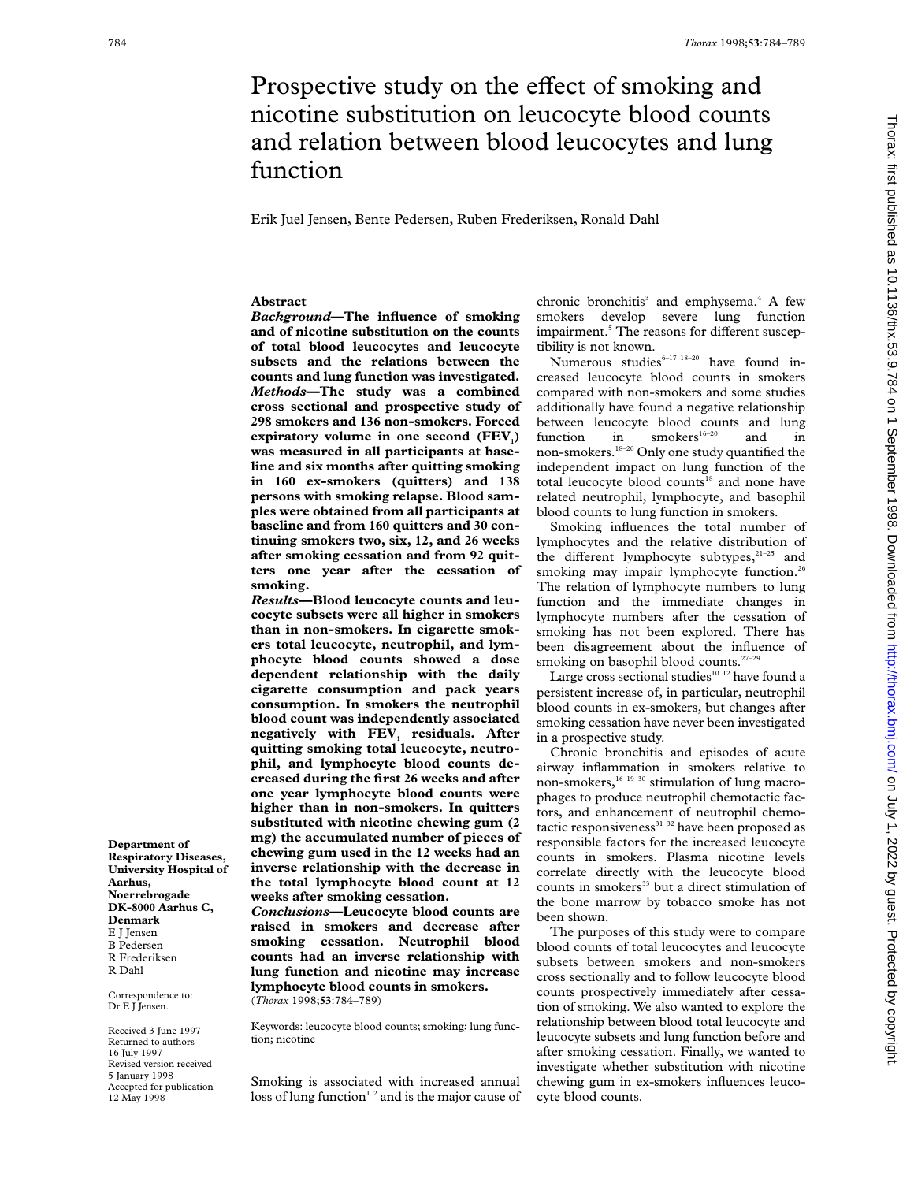# Prospective study on the effect of smoking and nicotine substitution on leucocyte blood counts and relation between blood leucocytes and lung function

Erik Juel Jensen, Bente Pedersen, Ruben Frederiksen, Ronald Dahl

# **Abstract**

*Background***—The influence of smoking and of nicotine substitution on the counts of total blood leucocytes and leucocyte subsets and the relations between the counts and lung function was investigated.** *Methods***—The study was a combined cross sectional and prospective study of 298 smokers and 136 non-smokers. Forced** expiratory volume in one second (FEV<sub>1</sub>) **was measured in all participants at baseline and six months after quitting smoking in 160 ex-smokers (quitters) and 138 persons with smoking relapse. Blood samples were obtained from all participants at baseline and from 160 quitters and 30 continuing smokers two, six, 12, and 26 weeks after smoking cessation and from 92 quitters one year after the cessation of smoking.**

*Results***—Blood leucocyte counts and leucocyte subsets were all higher in smokers than in non-smokers. In cigarette smokers total leucocyte, neutrophil, and lymphocyte blood counts showed a dose dependent relationship with the daily cigarette consumption and pack years consumption. In smokers the neutrophil blood count was independently associated negatively with FEV<sub>1</sub> residuals. After quitting smoking total leucocyte, neutrophil, and lymphocyte blood counts decreased during the first 26 weeks and after one year lymphocyte blood counts were higher than in non-smokers. In quitters substituted with nicotine chewing gum (2 mg) the accumulated number of pieces of chewing gum used in the 12 weeks had an inverse relationship with the decrease in the total lymphocyte blood count at 12 weeks after smoking cessation.**

*Conclusions***—Leucocyte blood counts are raised in smokers and decrease after smoking cessation. Neutrophil blood counts had an inverse relationship with lung function and nicotine may increase lymphocyte blood counts in smokers.** (*Thorax* 1998;**53**:784–789)

Keywords: leucocyte blood counts; smoking; lung function; nicotine

Smoking is associated with increased annual loss of lung function<sup>12</sup> and is the major cause of chronic bronchitis<sup>3</sup> and emphysema.<sup>4</sup> A few smokers develop severe lung function impairment.<sup>5</sup> The reasons for different susceptibility is not known.

Numerous studies $6-17$   $18-20$  have found increased leucocyte blood counts in smokers compared with non-smokers and some studies additionally have found a negative relationship between leucocyte blood counts and lung function in  $smokes^{16-20}$  and in non-smokers.18–20 Only one study quantified the independent impact on lung function of the total leucocyte blood counts<sup>18</sup> and none have related neutrophil, lymphocyte, and basophil blood counts to lung function in smokers.

Smoking influences the total number of lymphocytes and the relative distribution of the different lymphocyte subtypes, $21-25$  and smoking may impair lymphocyte function.<sup>26</sup> The relation of lymphocyte numbers to lung function and the immediate changes in lymphocyte numbers after the cessation of smoking has not been explored. There has been disagreement about the influence of smoking on basophil blood counts. $27-29$ 

Large cross sectional studies<sup>10 12</sup> have found a persistent increase of, in particular, neutrophil blood counts in ex-smokers, but changes after smoking cessation have never been investigated in a prospective study.

Chronic bronchitis and episodes of acute airway inflammation in smokers relative to non-smokers,<sup>16 19 30</sup> stimulation of lung macrophages to produce neutrophil chemotactic factors, and enhancement of neutrophil chemotactic responsiveness<sup>31</sup> <sup>32</sup> have been proposed as responsible factors for the increased leucocyte counts in smokers. Plasma nicotine levels correlate directly with the leucocyte blood counts in smokers<sup>33</sup> but a direct stimulation of the bone marrow by tobacco smoke has not been shown.

The purposes of this study were to compare blood counts of total leucocytes and leucocyte subsets between smokers and non-smokers cross sectionally and to follow leucocyte blood counts prospectively immediately after cessation of smoking. We also wanted to explore the relationship between blood total leucocyte and leucocyte subsets and lung function before and after smoking cessation. Finally, we wanted to investigate whether substitution with nicotine chewing gum in ex-smokers influences leucocyte blood counts.

**Department of Respiratory Diseases, University Hospital of Aarhus, Noerrebrogade DK-8000 Aarhus C, Denmark** E J Jensen B Pedersen R Frederiksen R Dahl

Correspondence to: Dr E J Jensen.

Received 3 June 1997 Returned to authors 16 July 1997 Revised version received 5 January 1998 Accepted for publication 12 May 1998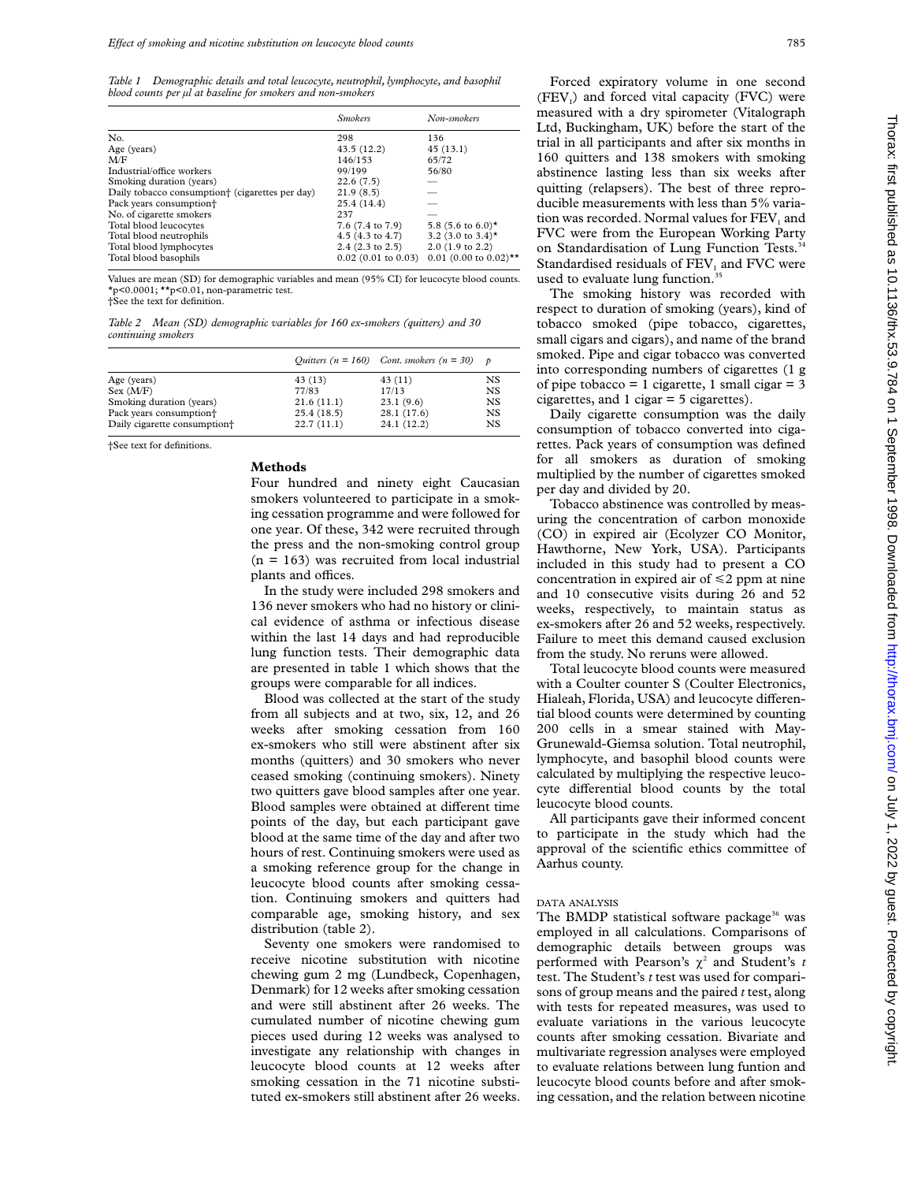*Table 1 Demographic details and total leucocyte, neutrophil, lymphocyte, and basophil blood counts per µl at baseline for smokers and non-smokers*

|                                                             | <b>Smokers</b>             | Non-smokers                         |
|-------------------------------------------------------------|----------------------------|-------------------------------------|
| No.                                                         | 298                        | 136                                 |
| Age (years)                                                 | 43.5(12.2)                 | 45(13.1)                            |
| M/F                                                         | 146/153                    | 65/72                               |
| Industrial/office workers                                   | 99/199                     | 56/80                               |
| Smoking duration (years)                                    | 22.6(7.5)                  |                                     |
| Daily tobacco consumption <sup>+</sup> (cigarettes per day) | 21.9(8.5)                  |                                     |
| Pack years consumption <sup>+</sup>                         | 25.4(14.4)                 |                                     |
| No. of cigarette smokers                                    | 237                        |                                     |
| Total blood leucocytes                                      | 7.6 (7.4 to 7.9)           | 5.8 (5.6 to 6.0)*                   |
| Total blood neutrophils                                     | $4.5(4.3 \text{ to } 4.7)$ | 3.2 (3.0 to 3.4)*                   |
| Total blood lymphocytes                                     | $2.4$ (2.3 to 2.5)         | $2.0$ (1.9 to 2.2)                  |
| Total blood basophils                                       | $0.02$ (0.01 to 0.03)      | $0.01$ (0.00 to 0.02) <sup>**</sup> |

Values are mean (SD) for demographic variables and mean (95% CI) for leucocyte blood counts. \*p<0.0001; \*\*p<0.01, non-parametric test.

†See the text for definition.

*Table 2 Mean (SD) demographic variables for 160 ex-smokers (quitters) and 30 continuing smokers*

|                                          |            | Quitters ( $n = 160$ ) Cont. smokers ( $n = 30$ ) p |     |
|------------------------------------------|------------|-----------------------------------------------------|-----|
| Age (years)                              | 43 (13)    | 43(11)                                              | NS. |
| Sex (M/F)                                | 77/83      | 17/13                                               | NS  |
| Smoking duration (years)                 | 21.6(11.1) | 23.1(9.6)                                           | NS  |
| Pack years consumption <sup>+</sup>      | 25.4(18.5) | 28.1 (17.6)                                         | NS  |
| Daily cigarette consumption <sup>+</sup> | 22.7(11.1) | 24.1 (12.2)                                         | NS  |

†See text for definitions.

# **Methods**

Four hundred and ninety eight Caucasian smokers volunteered to participate in a smoking cessation programme and were followed for one year. Of these, 342 were recruited through the press and the non-smoking control group  $(n = 163)$  was recruited from local industrial plants and offices.

In the study were included 298 smokers and 136 never smokers who had no history or clinical evidence of asthma or infectious disease within the last 14 days and had reproducible lung function tests. Their demographic data are presented in table 1 which shows that the groups were comparable for all indices.

Blood was collected at the start of the study from all subjects and at two, six, 12, and 26 weeks after smoking cessation from 160 ex-smokers who still were abstinent after six months (quitters) and 30 smokers who never ceased smoking (continuing smokers). Ninety two quitters gave blood samples after one year. Blood samples were obtained at different time points of the day, but each participant gave blood at the same time of the day and after two hours of rest. Continuing smokers were used as a smoking reference group for the change in leucocyte blood counts after smoking cessation. Continuing smokers and quitters had comparable age, smoking history, and sex distribution (table 2).

Seventy one smokers were randomised to receive nicotine substitution with nicotine chewing gum 2 mg (Lundbeck, Copenhagen, Denmark) for 12 weeks after smoking cessation and were still abstinent after 26 weeks. The cumulated number of nicotine chewing gum pieces used during 12 weeks was analysed to investigate any relationship with changes in leucocyte blood counts at 12 weeks after smoking cessation in the 71 nicotine substituted ex-smokers still abstinent after 26 weeks.

Forced expiratory volume in one second  $(FEV<sub>1</sub>)$  and forced vital capacity  $(FVC)$  were measured with a dry spirometer (Vitalograph Ltd, Buckingham, UK) before the start of the trial in all participants and after six months in 160 quitters and 138 smokers with smoking abstinence lasting less than six weeks after quitting (relapsers). The best of three reproducible measurements with less than 5% variation was recorded. Normal values for FEV<sub>1</sub> and FVC were from the European Working Party on Standardisation of Lung Function Tests.<sup>34</sup> Standardised residuals of FEV<sub>1</sub> and FVC were used to evaluate lung function.<sup>35</sup>

The smoking history was recorded with respect to duration of smoking (years), kind of tobacco smoked (pipe tobacco, cigarettes, small cigars and cigars), and name of the brand smoked. Pipe and cigar tobacco was converted into corresponding numbers of cigarettes (1 g of pipe tobacco = 1 cigarette, 1 small cigar =  $3$ cigarettes, and 1 cigar = 5 cigarettes).

Daily cigarette consumption was the daily consumption of tobacco converted into cigarettes. Pack years of consumption was defined for all smokers as duration of smoking multiplied by the number of cigarettes smoked per day and divided by 20.

Tobacco abstinence was controlled by measuring the concentration of carbon monoxide (CO) in expired air (Ecolyzer CO Monitor, Hawthorne, New York, USA). Participants included in this study had to present a CO concentration in expired air of  $\leq 2$  ppm at nine and 10 consecutive visits during 26 and 52 weeks, respectively, to maintain status as ex-smokers after 26 and 52 weeks, respectively. Failure to meet this demand caused exclusion from the study. No reruns were allowed.

Total leucocyte blood counts were measured with a Coulter counter S (Coulter Electronics, Hialeah, Florida, USA) and leucocyte differential blood counts were determined by counting 200 cells in a smear stained with May-Grunewald-Giemsa solution. Total neutrophil, lymphocyte, and basophil blood counts were calculated by multiplying the respective leucocyte differential blood counts by the total leucocyte blood counts.

All participants gave their informed concent to participate in the study which had the approval of the scientific ethics committee of Aarhus county.

#### DATA ANALYSIS

The BMDP statistical software package<sup>36</sup> was employed in all calculations. Comparisons of demographic details between groups was performed with Pearson's  $\chi^2$  and Student's *t* test. The Student's *t* test was used for comparisons of group means and the paired *t* test, along with tests for repeated measures, was used to evaluate variations in the various leucocyte counts after smoking cessation. Bivariate and multivariate regression analyses were employed to evaluate relations between lung funtion and leucocyte blood counts before and after smoking cessation, and the relation between nicotine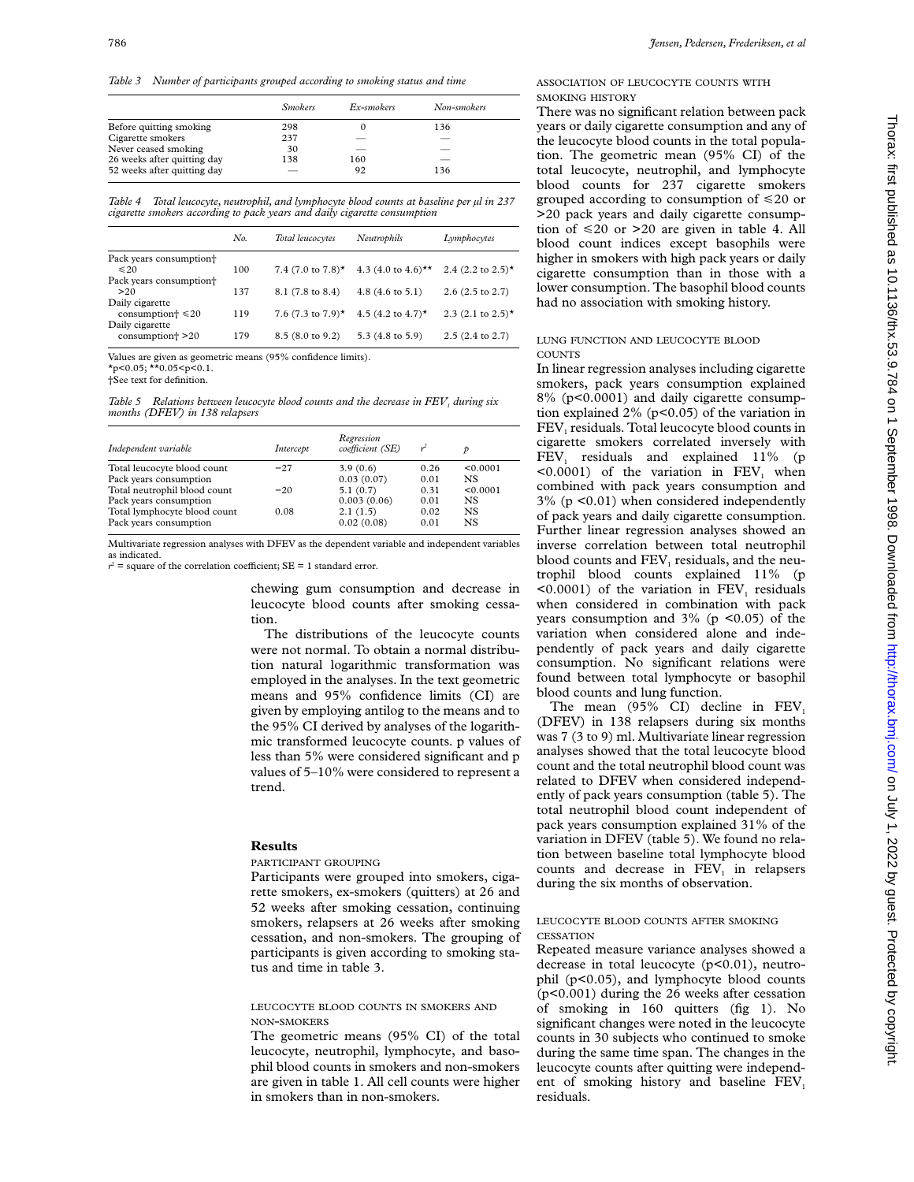*Table 3 Number of participants grouped according to smoking status and time*

|                             | <b>Smokers</b> | Ex-smokers | Non-smokers |
|-----------------------------|----------------|------------|-------------|
| Before quitting smoking     | 298            | O          | 136         |
| Cigarette smokers           | 237            |            |             |
| Never ceased smoking        | 30             |            |             |
| 26 weeks after quitting day | 138            | 160        |             |
| 52 weeks after quitting day |                | 92         | 136         |

*Table 4 Total leucocyte, neutrophil, and lymphocyte blood counts at baseline per µl in 237 cigarette smokers according to pack years and daily cigarette consumption*

|                                                  | No. | Total leucocytes | Neutrophils                                            | Lymphocytes                   |
|--------------------------------------------------|-----|------------------|--------------------------------------------------------|-------------------------------|
| Pack years consumption <sup>+</sup><br>$\leq 20$ | 100 |                  | 7.4 (7.0 to 7.8)* 4.3 (4.0 to 4.6)** 2.4 (2.2 to 2.5)* |                               |
| Pack years consumption <sup>+</sup>              |     |                  |                                                        |                               |
| >20                                              | 137 | 8.1 (7.8 to 8.4) | $4.8(4.6 \text{ to } 5.1)$                             | $2.6(2.5 \text{ to } 2.7)$    |
| Daily cigarette                                  |     |                  |                                                        |                               |
| consumption $\approx 20$                         | 119 |                  | 7.6 (7.3 to 7.9)* 4.5 (4.2 to 4.7)*                    | 2.3 $(2.1 \text{ to } 2.5)^*$ |
| Daily cigarette<br>consumption <sup>+</sup> >20  | 179 | 8.5 (8.0 to 9.2) | 5.3 (4.8 to 5.9)                                       | $2.5(2.4 \text{ to } 2.7)$    |

Values are given as geometric means (95% confidence limits). \*p<0.05; \*\*0.05<p<0.1.

†See text for definition.

*Table 5* Relations between leucocyte blood counts and the decrease in FEV<sub>1</sub> during six *months (DFEV) in 138 relapsers*

| Independent variable         | Intercept | Regression<br>coefficient (SE) |      |          |
|------------------------------|-----------|--------------------------------|------|----------|
| Total leucocyte blood count  | $-27$     | 3.9(0.6)                       | 0.26 | < 0.0001 |
| Pack years consumption       |           | 0.03(0.07)                     | 0.01 | NS.      |
| Total neutrophil blood count | $-20$     | 5.1(0.7)                       | 0.31 | < 0.0001 |
| Pack years consumption       |           | 0.003(0.06)                    | 0.01 | NS.      |
| Total lymphocyte blood count | 0.08      | 2.1(1.5)                       | 0.02 | NS.      |
| Pack years consumption       |           | 0.02(0.08)                     | 0.01 | NS.      |

Multivariate regression analyses with DFEV as the dependent variable and independent variables as indicated.

 $r^2$  = square of the correlation coefficient;  $SE = 1$  standard error.

chewing gum consumption and decrease in leucocyte blood counts after smoking cessation.

The distributions of the leucocyte counts were not normal. To obtain a normal distribution natural logarithmic transformation was employed in the analyses. In the text geometric means and 95% confidence limits (CI) are given by employing antilog to the means and to the 95% CI derived by analyses of the logarithmic transformed leucocyte counts. p values of less than 5% were considered significant and p values of 5–10% were considered to represent a trend.

## **Results**

#### PARTICIPANT GROUPING

Participants were grouped into smokers, cigarette smokers, ex-smokers (quitters) at 26 and 52 weeks after smoking cessation, continuing smokers, relapsers at 26 weeks after smoking cessation, and non-smokers. The grouping of participants is given according to smoking status and time in table 3.

## LEUCOCYTE BLOOD COUNTS IN SMOKERS AND NON-SMOKERS

The geometric means (95% CI) of the total leucocyte, neutrophil, lymphocyte, and basophil blood counts in smokers and non-smokers are given in table 1. All cell counts were higher in smokers than in non-smokers.

ASSOCIATION OF LEUCOCYTE COUNTS WITH SMOKING HISTORY

There was no significant relation between pack years or daily cigarette consumption and any of the leucocyte blood counts in the total population. The geometric mean (95% CI) of the total leucocyte, neutrophil, and lymphocyte blood counts for 237 cigarette smokers grouped according to consumption of  $\leq 20$  or >20 pack years and daily cigarette consumption of  $\leq 20$  or  $>20$  are given in table 4. All blood count indices except basophils were higher in smokers with high pack years or daily cigarette consumption than in those with a lower consumption. The basophil blood counts had no association with smoking history.

#### LUNG FUNCTION AND LEUCOCYTE BLOOD **COUNTS**

In linear regression analyses including cigarette smokers, pack years consumption explained 8% (p<0.0001) and daily cigarette consumption explained  $2\%$  (p<0.05) of the variation in  $FEV<sub>1</sub>$  residuals. Total leucocyte blood counts in cigarette smokers correlated inversely with  $FEV<sub>1</sub>$  residuals and explained 11% (p  $\leq 0.0001$  of the variation in FEV, when combined with pack years consumption and 3% (p <0.01) when considered independently of pack years and daily cigarette consumption. Further linear regression analyses showed an inverse correlation between total neutrophil blood counts and  $FEV<sub>1</sub>$  residuals, and the neutrophil blood counts explained 11% (p  $\leq 0.0001$ ) of the variation in FEV<sub>1</sub> residuals when considered in combination with pack years consumption and  $3\%$  (p <0.05) of the variation when considered alone and independently of pack years and daily cigarette consumption. No significant relations were found between total lymphocyte or basophil blood counts and lung function.

The mean (95% CI) decline in  $FEV<sub>1</sub>$ (DFEV) in 138 relapsers during six months was 7 (3 to 9) ml. Multivariate linear regression analyses showed that the total leucocyte blood count and the total neutrophil blood count was related to DFEV when considered independently of pack years consumption (table 5). The total neutrophil blood count independent of pack years consumption explained 31% of the variation in DFEV (table 5). We found no relation between baseline total lymphocyte blood counts and decrease in  $FEV<sub>1</sub>$  in relapsers during the six months of observation.

### LEUCOCYTE BLOOD COUNTS AFTER SMOKING **CESSATION**

Repeated measure variance analyses showed a decrease in total leucocyte (p<0.01), neutrophil (p<0.05), and lymphocyte blood counts (p<0.001) during the 26 weeks after cessation of smoking in 160 quitters (fig 1). No significant changes were noted in the leucocyte counts in 30 subjects who continued to smoke during the same time span. The changes in the leucocyte counts after quitting were independent of smoking history and baseline  $FEV<sub>1</sub>$ residuals.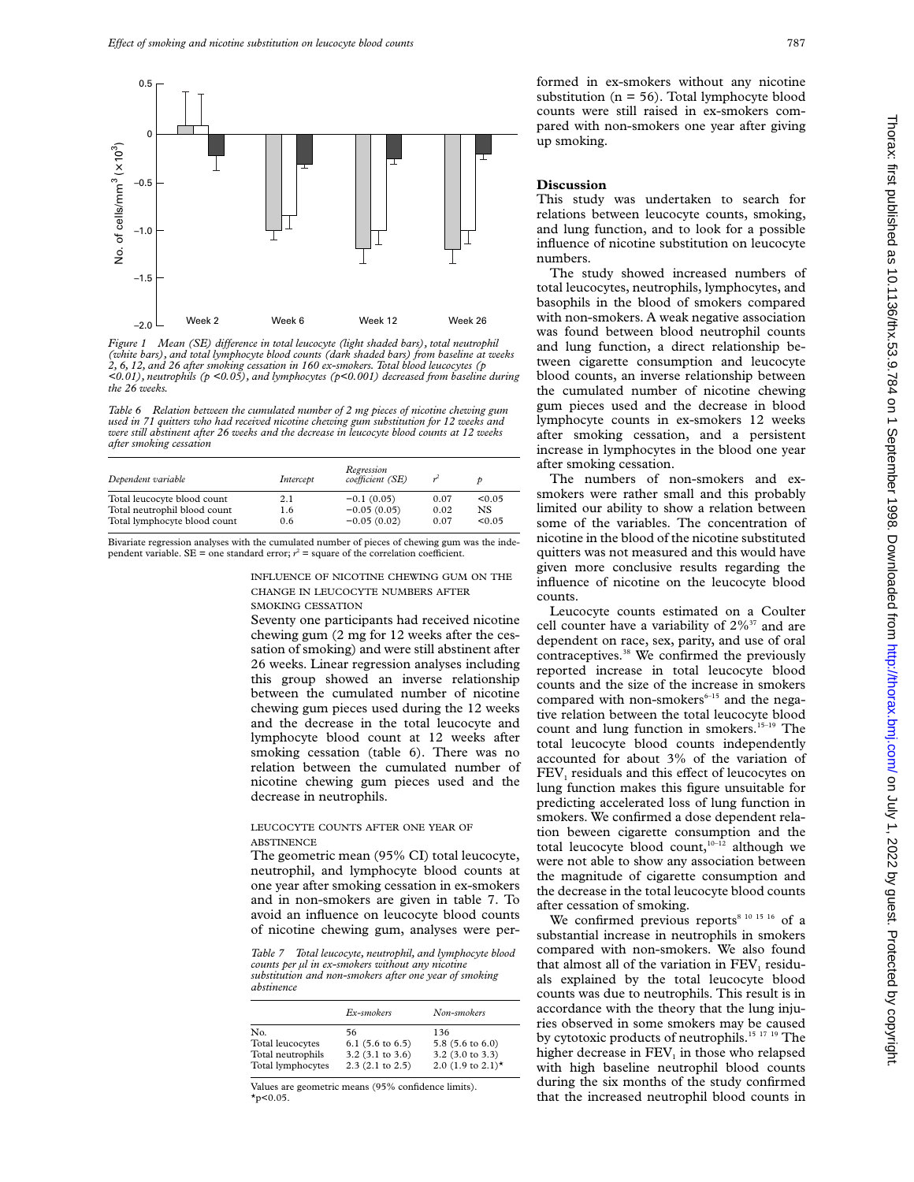

*Figure 1* Mean (SE) difference in total leucocyte (light shaded bars), total neutrophil *(white bars), and total lymphocyte blood counts (dark shaded bars) from baseline at weeks 2, 6, 12, and 26 after smoking cessation in 160 ex-smokers. Total blood leucocytes (p <0.01), neutrophils (p <0.05), and lymphocytes (p<0.001) decreased from baseline during the 26 weeks.*

*Table 6 Relation between the cumulated number of 2 mg pieces of nicotine chewing gum used in 71 quitters who had received nicotine chewing gum substitution for 12 weeks and were still abstinent after 26 weeks and the decrease in leucocyte blood counts at 12 weeks after smoking cessation*

| Dependent variable                                          | Intercept  | Regression<br>coefficient (SE) |              |               |
|-------------------------------------------------------------|------------|--------------------------------|--------------|---------------|
| Total leucocyte blood count<br>Total neutrophil blood count | 2.1<br>1.6 | $-0.1(0.05)$<br>$-0.05(0.05)$  | 0.07<br>0.02 | < 0.05<br>NS. |
| Total lymphocyte blood count                                | 0.6        | $-0.05(0.02)$                  | 0.07         | < 0.05        |

Bivariate regression analyses with the cumulated number of pieces of chewing gum was the independent variable. SE = one standard error;  $r^2$  = square of the correlation coefficient.

> INFLUENCE OF NICOTINE CHEWING GUM ON THE CHANGE IN LEUCOCYTE NUMBERS AFTER SMOKING CESSATION

Seventy one participants had received nicotine chewing gum (2 mg for 12 weeks after the cessation of smoking) and were still abstinent after 26 weeks. Linear regression analyses including this group showed an inverse relationship between the cumulated number of nicotine chewing gum pieces used during the 12 weeks and the decrease in the total leucocyte and lymphocyte blood count at 12 weeks after smoking cessation (table 6). There was no relation between the cumulated number of nicotine chewing gum pieces used and the decrease in neutrophils.

#### LEUCOCYTE COUNTS AFTER ONE YEAR OF **ABSTINENCE**

The geometric mean (95% CI) total leucocyte, neutrophil, and lymphocyte blood counts at one year after smoking cessation in ex-smokers and in non-smokers are given in table 7. To avoid an influence on leucocyte blood counts of nicotine chewing gum, analyses were per-

*Table 7 Total leucocyte, neutrophil, and lymphocyte blood counts per µl in ex-smokers without any nicotine substitution and non-smokers after one year of smoking abstinence*

|                                                                   | Ex-smokers                                                                      | Non-smokers                                                                             |
|-------------------------------------------------------------------|---------------------------------------------------------------------------------|-----------------------------------------------------------------------------------------|
| No.<br>Total leucocytes<br>Total neutrophils<br>Total lymphocytes | 56<br>$6.1$ (5.6 to 6.5)<br>$3.2$ (3.1 to 3.6)<br>$2.3$ $(2.1 \text{ to } 2.5)$ | 136<br>5.8 $(5.6 \text{ to } 6.0)$<br>3.2 (3.0 to 3.3)<br>2.0 $(1.9 \text{ to } 2.1)$ * |
|                                                                   |                                                                                 |                                                                                         |

Values are geometric means (95% confidence limits).  $*_{p<0.05}$ .

formed in ex-smokers without any nicotine substitution ( $n = 56$ ). Total lymphocyte blood counts were still raised in ex-smokers compared with non-smokers one year after giving up smoking.

## **Discussion**

This study was undertaken to search for relations between leucocyte counts, smoking, and lung function, and to look for a possible influence of nicotine substitution on leucocyte numbers.

The study showed increased numbers of total leucocytes, neutrophils, lymphocytes, and basophils in the blood of smokers compared with non-smokers. A weak negative association was found between blood neutrophil counts and lung function, a direct relationship between cigarette consumption and leucocyte blood counts, an inverse relationship between the cumulated number of nicotine chewing gum pieces used and the decrease in blood lymphocyte counts in ex-smokers 12 weeks after smoking cessation, and a persistent increase in lymphocytes in the blood one year after smoking cessation.

The numbers of non-smokers and exsmokers were rather small and this probably limited our ability to show a relation between some of the variables. The concentration of nicotine in the blood of the nicotine substituted quitters was not measured and this would have given more conclusive results regarding the influence of nicotine on the leucocyte blood counts.

Leucocyte counts estimated on a Coulter cell counter have a variability of  $2\%$ <sup>37</sup> and are dependent on race, sex, parity, and use of oral contraceptives.<sup>38</sup> We confirmed the previously reported increase in total leucocyte blood counts and the size of the increase in smokers compared with non-smokers $6-15$  and the negative relation between the total leucocyte blood count and lung function in smokers.<sup>15-19</sup> The total leucocyte blood counts independently accounted for about 3% of the variation of FEV<sub>1</sub> residuals and this effect of leucocytes on lung function makes this figure unsuitable for predicting accelerated loss of lung function in smokers. We confirmed a dose dependent relation beween cigarette consumption and the total leucocyte blood count, $10^{-12}$  although we were not able to show any association between the magnitude of cigarette consumption and the decrease in the total leucocyte blood counts after cessation of smoking.

We confirmed previous reports<sup>8 10 15 16</sup> of a substantial increase in neutrophils in smokers compared with non-smokers. We also found that almost all of the variation in  $FEV<sub>1</sub>$  residuals explained by the total leucocyte blood counts was due to neutrophils. This result is in accordance with the theory that the lung injuries observed in some smokers may be caused by cytotoxic products of neutrophils.15 17 19 The higher decrease in  $FEV<sub>1</sub>$  in those who relapsed with high baseline neutrophil blood counts during the six months of the study confirmed that the increased neutrophil blood counts in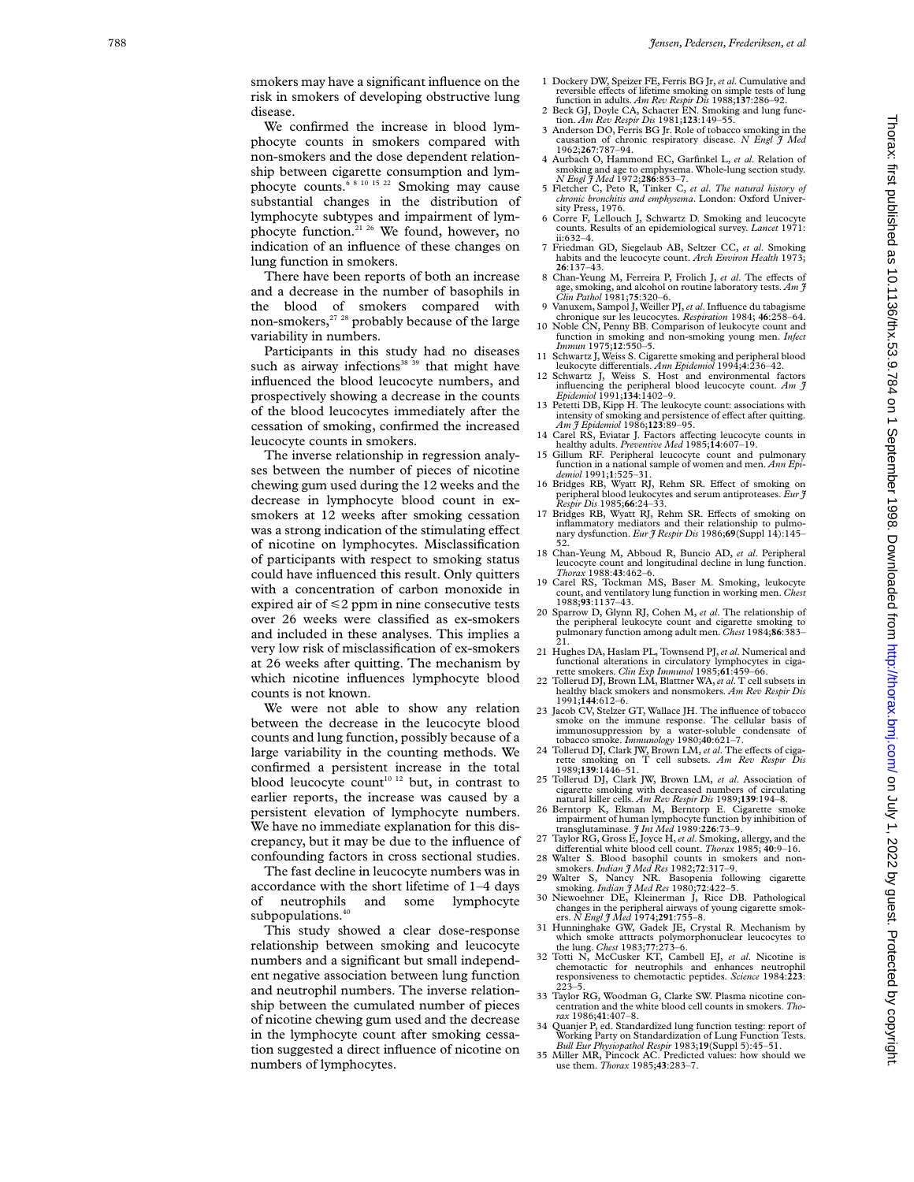smokers may have a significant influence on the risk in smokers of developing obstructive lung disease.

We confirmed the increase in blood lymphocyte counts in smokers compared with non-smokers and the dose dependent relationship between cigarette consumption and lymphocyte counts.6 8 10 15 22 Smoking may cause substantial changes in the distribution of lymphocyte subtypes and impairment of lymphocyte function.21 26 We found, however, no indication of an influence of these changes on lung function in smokers.

There have been reports of both an increase and a decrease in the number of basophils in the blood of smokers compared with non-smokers,<sup>27</sup> <sup>28</sup> probably because of the large variability in numbers.

Participants in this study had no diseases such as airway infections<sup>38 39</sup> that might have influenced the blood leucocyte numbers, and prospectively showing a decrease in the counts of the blood leucocytes immediately after the cessation of smoking, confirmed the increased leucocyte counts in smokers.

The inverse relationship in regression analyses between the number of pieces of nicotine chewing gum used during the 12 weeks and the decrease in lymphocyte blood count in exsmokers at 12 weeks after smoking cessation was a strong indication of the stimulating effect of nicotine on lymphocytes. Misclassification of participants with respect to smoking status could have influenced this result. Only quitters with a concentration of carbon monoxide in expired air of <2 ppm in nine consecutive tests over 26 weeks were classified as ex-smokers and included in these analyses. This implies a very low risk of misclassification of ex-smokers at 26 weeks after quitting. The mechanism by which nicotine influences lymphocyte blood counts is not known.

We were not able to show any relation between the decrease in the leucocyte blood counts and lung function, possibly because of a large variability in the counting methods. We confirmed a persistent increase in the total blood leucocyte count<sup>10 12</sup> but, in contrast to earlier reports, the increase was caused by a persistent elevation of lymphocyte numbers. We have no immediate explanation for this discrepancy, but it may be due to the influence of confounding factors in cross sectional studies.

The fast decline in leucocyte numbers was in accordance with the short lifetime of 1–4 days of neutrophils and some lymphocyte subpopulations.<sup>40</sup>

This study showed a clear dose-response relationship between smoking and leucocyte numbers and a significant but small independent negative association between lung function and neutrophil numbers. The inverse relationship between the cumulated number of pieces of nicotine chewing gum used and the decrease in the lymphocyte count after smoking cessation suggested a direct influence of nicotine on numbers of lymphocytes.

- 1 Dockery DW, Speizer FE, Ferris BG Jr, *et al*. Cumulative and reversible effects of lifetime smoking on simple tests of lung
- function in adults. *Am Rev Respir Dis* 1988;**137**:286–92. 2 Beck GJ, Doyle CA, Schacter EN. Smoking and lung func-
- tion. *Am Rev Respir Dis* 1981;**123**:149–55. 3 Anderson DO, Ferris BG Jr. Role of tobacco smoking in the 3 Anderson DO, Ferris BG Jr. Role of tobacco smoking in the causation of chronic respiratory disease. *N Engl J Med* 1962;267:787-94.
- 1962;**267**:787–94. 4 Aurbach O, Hammond EC, Garfinkel L, *et al*. Relation of smoking and age to emphysema. Whole-lung section study. *N Engl J Med* 1972;**286**:853–7.
- 5 Fletcher C, Peto R, Tinker C, *et al* . *The natural history of chronic bronchitis and emphysema*. London: Oxford University Press, 1976.
- 6 Corre F, Lellouch J, Schwartz D. Smoking and leucocyte counts. Results of an epidemiological survey. *Lancet* 1971:  $ii:632-4$
- 7 Friedman GD, Siegelaub AB, Seltzer CC, *et al*. Smoking habits and the leucocyte count. *Arch Environ Health* 1973; **26**:137–43.
- 8 Chan-Yeung M, Ferreira P, Frolich J, *et al.* The effects of age, smoking, and alcohol on routine laboratory tests. *Am J Clin Pathol* 1981;75:320–6.
- 9 Vanuxem, Sampol J, Weiller PJ,*et al*. Influence du tabagisme
- chronique sur les leucocytes. *Respiration* 1984; **46**:258–64. 10 Noble CN, Penny BB. Comparison of leukocyte count and function in smoking and non-smoking young men. *Infect Immun* 1975;**12**:550–5.
- 11 Schwartz J, Weiss S. Cigarette smoking and peripheral blood
- leukocyte differentials. Ann Epidemiol 1994;4:236-42.<br>12 Schwartz J, Weiss S. Host and environmental factors<br>influencing the peripheral blood leucocyte count. Am 3<br>Epidemiol 1991;134:1402-9.
- 13 Petetti DB, Kipp H. The leukocyte count: associations with intensity of smoking and persistence of effect after quitting.<br>*Am J Epidemiol* 1986;**123**:89–95.
- 14 Carel RS, Eviatar J. Factors affecting leucocyte counts in healthy adults. *Preventive Med* 1985;14:607-19.
- 15 Gillum RF. Peripheral leucocyte count and pulmonary function in a national sample of women and men. *Ann Epi-*
- *demiol* 1991;1:525–31.<br>
16 Bridges RB, Wyatt RJ, Rehm SR. Effect of smoking on peripheral blood leukocytes and serum antiproteases. *Eur J*<br> *Respir Dis* 1985;**66**:24–33.
- 17 Bridges RB, Wyatt RJ, Rehm SR. Effects of smoking on inflammatory mediators and their relationship to pulmonary dysfunction. *Eur J Respir Dis* 1986;**69**(Suppl 14):145– 52.
- 18 Chan-Yeung M, Abboud R, Buncio AD, *et al*. Peripheral leucocyte count and longitudinal decline in lung function. *Thorax* 1988:**43**:462–6.
- 19 Carel RS, Tockman MS, Baser M. Smoking, leukocyte count, and ventilatory lung function in working men. *Chest* 1988;**93**:1137–43.
- 20 Sparrow D, Glynn RJ, Cohen M, *et al*. The relationship of the peripheral leukocyte count and cigarette smoking to pulmonary function among adult men. *Chest* 1984;**86**:383– 21.
- 21 Hughes DA, Haslam PL, Townsend PJ,*et al*. Numerical and functional alterations in circulatory lymphocytes in ciga-
- rette smokers. *Clin Exp Immunol* 1985;**61**:459–66. 22 Tollerud DJ, Brown LM, Blattner WA,*et al*. T cell subsets in healthy black smokers and nonsmokers. *Am Rev Respir Dis* 1991;**144**:612–6.
- 23 Jacob CV, Stelzer GT, Wallace IH. The influence of tobacco smoke on the immune response. The cellular basis of immunosuppression by a water-soluble condensate of tobacco smoke. *Immunology* 1980;**40**:621–7.
- 24 Tollerud DJ, Clark JW, Brown LM, et al. The effects of cigarette smoking on T cell subsets. *Am Rev Respir Dis* 1989;**139**:1446–51.
- 25 Tollerud DJ, Clark JW, Brown LM, *et al*. Association of cigarette smoking with decreased numbers of circulating natural killer cells. *Am Rev Respir Dis* 1989;**139**:194–8.
- 26 Berntorp K, Ekman M, Berntorp E. Cigarette smoke impairment of human lymphocyte function by inhibition of
- transglutaminase. *J Int Med* 1989:**226**:73–9. 27 Taylor RG, Gross E, Joyce H,*et al*. Smoking, allergy, and the di Verential white blood cell count. *Thorax* 1985; **40**:9–16. 28 Walter S. Blood basophil counts in smokers and non-
- smokers. *Indian J Med Res* 1982;**72**:317–9.
- 29 Walter S, Nancy NR. Basopenia following cigarette smoking. *Indian J Med Res* 1980;**72**:422–5.
- 30 Niewoehner DE, Kleinerman J, Rice DB. Pathological changes in the peripheral airways of young cigarette smok-ers. *N Engl J Med* 1974;**291**:755–8.
- 31 Hunninghake GW, Gadek JE, Crystal R. Mechanism by which smoke atttracts polymorphonuclear leucocytes to the lung. *Chest* 1983;**77**:273–6. 32 Totti N, McCusker KT, Cambell EJ, *et al*. Nicotine is
- chemotactic for neutrophils and enhances neutrophil responsiveness to chemotactic peptides. *Science* 1984:**223** : 223–5.
- 33 Taylor RG, Woodman G, Clarke SW. Plasma nicotine concentration and the white blood cell counts in smokers. *Thorax* 1986;**41**:407–8.
- 34 Quanjer P, ed. Standardized lung function testing: report of Working Party on Standardization of Lung Function Tests.<br>Bull Eur Physiopathol Respir 1983;19(Suppl 5):45–51.<br>Bull Eur Physiopathol Respir 1983;19(Suppl 5):45
- use them. *Thorax* 1985;**43**:283–7.